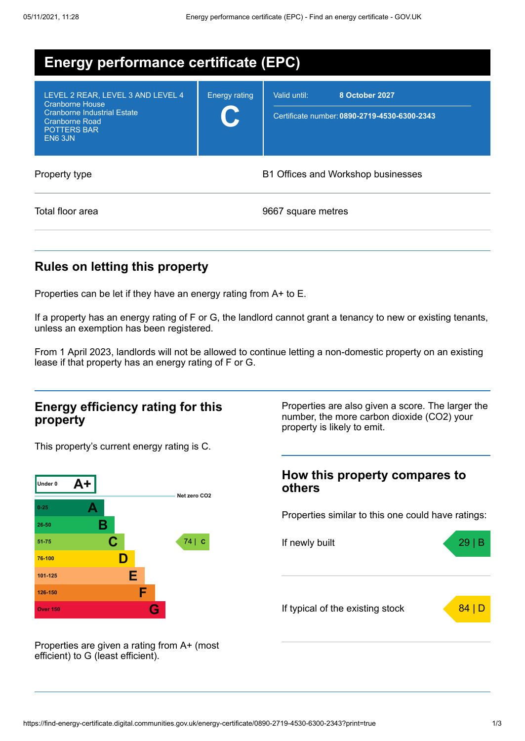| <b>Energy performance certificate (EPC)</b>                                                                                                                 |                      |                                                                                |  |  |
|-------------------------------------------------------------------------------------------------------------------------------------------------------------|----------------------|--------------------------------------------------------------------------------|--|--|
| LEVEL 2 REAR, LEVEL 3 AND LEVEL 4<br><b>Cranborne House</b><br><b>Cranborne Industrial Estate</b><br><b>Cranborne Road</b><br><b>POTTERS BAR</b><br>EN6 3JN | <b>Energy rating</b> | Valid until:<br>8 October 2027<br>Certificate number: 0890-2719-4530-6300-2343 |  |  |
| Property type                                                                                                                                               |                      | B1 Offices and Workshop businesses                                             |  |  |
| Total floor area                                                                                                                                            |                      | 9667 square metres                                                             |  |  |

## **Rules on letting this property**

Properties can be let if they have an energy rating from A+ to E.

If a property has an energy rating of F or G, the landlord cannot grant a tenancy to new or existing tenants, unless an exemption has been registered.

From 1 April 2023, landlords will not be allowed to continue letting a non-domestic property on an existing lease if that property has an energy rating of F or G.

### **Energy efficiency rating for this property**

This property's current energy rating is C.



Properties are also given a score. The larger the number, the more carbon dioxide (CO2) your property is likely to emit.

### **How this property compares to others**

Properties similar to this one could have ratings:



Properties are given a rating from A+ (most efficient) to G (least efficient).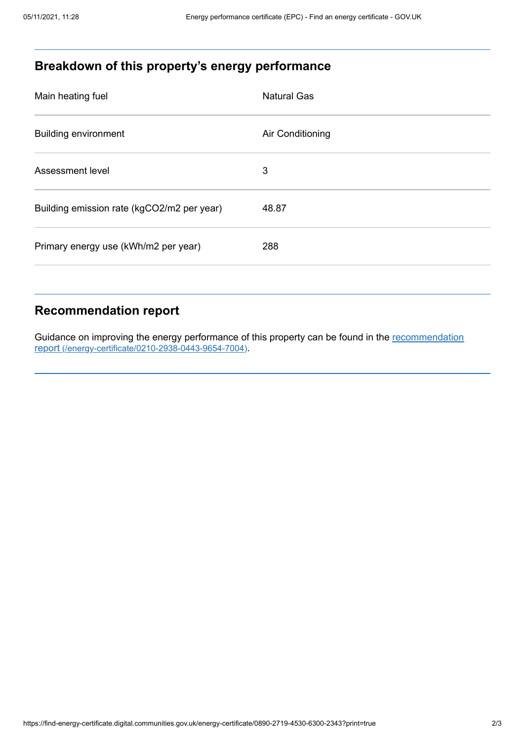# **Breakdown of this property's energy performance**

| Main heating fuel                          | <b>Natural Gas</b> |
|--------------------------------------------|--------------------|
| <b>Building environment</b>                | Air Conditioning   |
| Assessment level                           | 3                  |
| Building emission rate (kgCO2/m2 per year) | 48.87              |
| Primary energy use (kWh/m2 per year)       | 288                |
|                                            |                    |

# **Recommendation report**

Guidance on improving the energy performance of this property can be found in the recommendation report [\(/energy-certificate/0210-2938-0443-9654-7004\)](https://find-energy-certificate.digital.communities.gov.uk/energy-certificate/0210-2938-0443-9654-7004).